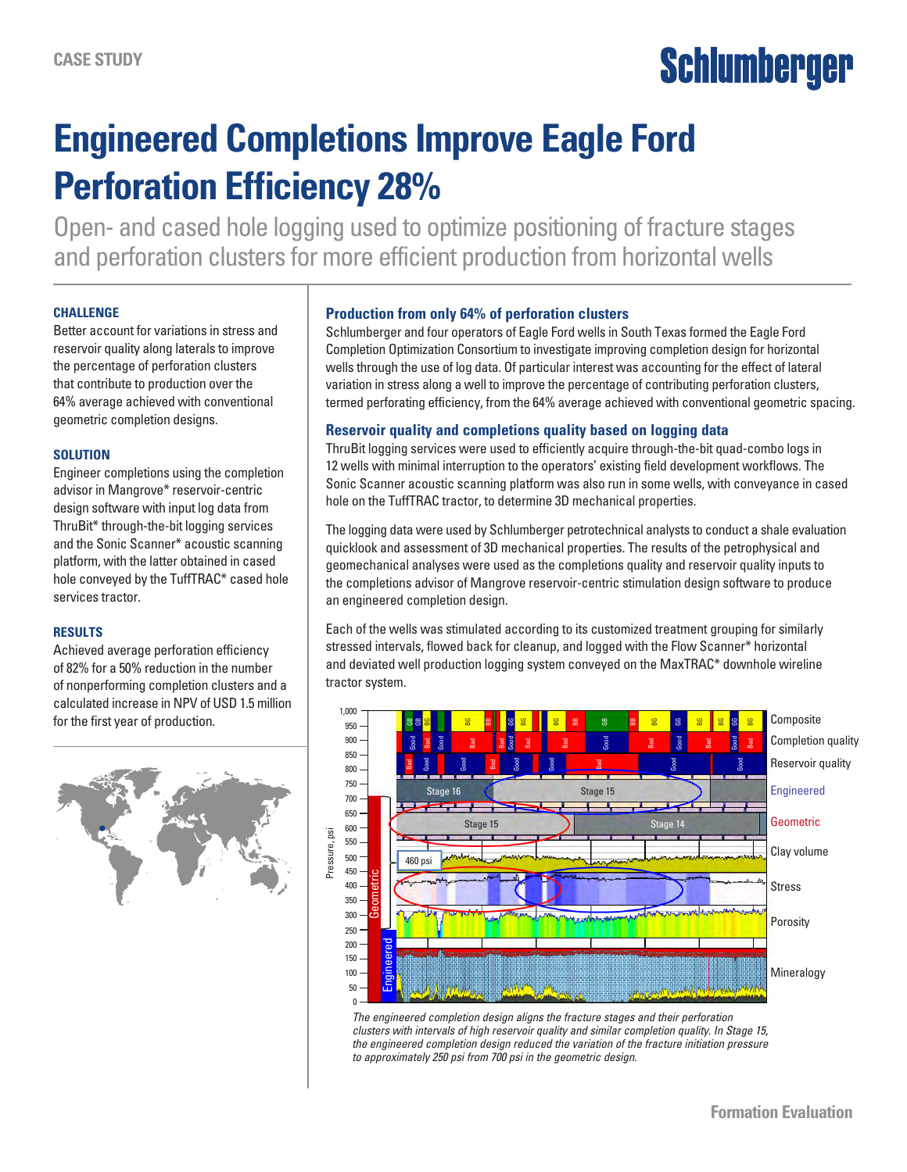# **Schlumberger**

## **Engineered Completions Improve Eagle Ford Perforation Efficiency 28%**

Open- and cased hole logging used to optimize positioning of fracture stages and perforation clusters for more efficient production from horizontal wells

#### **CHALLENGE**

Better account for variations in stress and reservoir quality along laterals to improve the percentage of perforation clusters that contribute to production over the 64% average achieved with conventional geometric completion designs.

#### **SOLUTION**

Engineer completions using the completion advisor in Mangrove\* reservoir-centric design software with input log data from ThruBit\* through-the-bit logging services and the Sonic Scanner\* acoustic scanning platform, with the latter obtained in cased hole conveyed by the TuffTRAC\* cased hole services tractor.

#### **RESULTS**

Achieved average perforation efficiency of 82% for a 50% reduction in the number of nonperforming completion clusters and a calculated increase in NPV of USD 1.5 million for the first year of production.



#### **Production from only 64% of perforation clusters**

Schlumberger and four operators of Eagle Ford wells in South Texas formed the Eagle Ford Completion Optimization Consortium to investigate improving completion design for horizontal wells through the use of log data. Of particular interest was accounting for the effect of lateral variation in stress along a well to improve the percentage of contributing perforation clusters, termed perforating efficiency, from the 64% average achieved with conventional geometric spacing.

#### **Reservoir quality and completions quality based on logging data**

ThruBit logging services were used to efficiently acquire through-the-bit quad-combo logs in 12 wells with minimal interruption to the operators' existing field development workflows. The Sonic Scanner acoustic scanning platform was also run in some wells, with conveyance in cased hole on the TuffTRAC tractor, to determine 3D mechanical properties.

The logging data were used by Schlumberger petrotechnical analysts to conduct a shale evaluation quicklook and assessment of 3D mechanical properties. The results of the petrophysical and geomechanical analyses were used as the completions quality and reservoir quality inputs to the completions advisor of Mangrove reservoir-centric stimulation design software to produce an engineered completion design.

Each of the wells was stimulated according to its customized treatment grouping for similarly stressed intervals, flowed back for cleanup, and logged with the Flow Scanner\* horizontal and deviated well production logging system conveyed on the MaxTRAC\* downhole wireline tractor system.



*The engineered completion design aligns the fracture stages and their perforation clusters with intervals of high reservoir quality and similar completion quality. In Stage 15, the engineered completion design reduced the variation of the fracture initiation pressure to approximately 250 psi from 700 psi in the geometric design.*